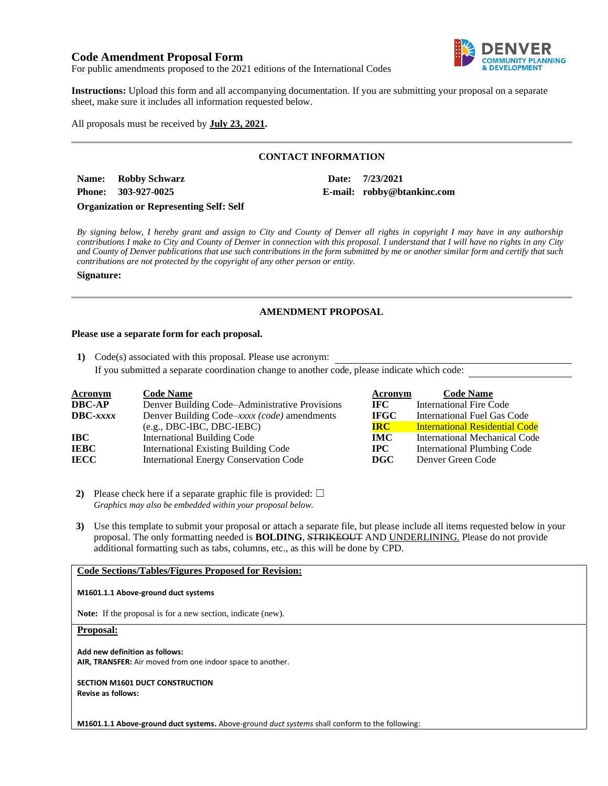# **Code Amendment Proposal Form**



For public amendments proposed to the 2021 editions of the International Codes

**Instructions:** Upload this form and all accompanying documentation. If you are submitting your proposal on a separate sheet, make sure it includes all information requested below.

All proposals must be received by **July 23, 2021.**

# **CONTACT INFORMATION**

**Name: Robby Schwarz Date: 7/23/2021 Phone: 303-927-0025 E-mail: robby@btankinc.com**

**Organization or Representing Self: Self**

*By signing below, I hereby grant and assign to City and County of Denver all rights in copyright I may have in any authorship contributions I make to City and County of Denver in connection with this proposal. I understand that I will have no rights in any City and County of Denver publications that use such contributions in the form submitted by me or another similar form and certify that such contributions are not protected by the copyright of any other person or entity.* 

## **Signature:**

# **AMENDMENT PROPOSAL**

## **Please use a separate form for each proposal.**

**1)** Code(s) associated with this proposal. Please use acronym: If you submitted a separate coordination change to another code, please indicate which code:

| <b>Acronym</b>    | <b>Code Name</b>                               | Acronym      | <b>Code Name</b>                      |
|-------------------|------------------------------------------------|--------------|---------------------------------------|
| <b>DBC-AP</b>     | Denver Building Code–Administrative Provisions | IFC.         | International Fire Code               |
| $\text{DBC}-xxxx$ | Denver Building Code-xxxx (code) amendments    | <b>IFGC</b>  | International Fuel Gas Code           |
|                   | $(e.g., DBC-IBC, DBC-IEBC)$                    | <b>IRC</b>   | <b>International Residential Code</b> |
| IBC               | <b>International Building Code</b>             | <b>IMC</b>   | International Mechanical Code         |
| <b>IEBC</b>       | <b>International Existing Building Code</b>    | $_{\rm IPC}$ | International Plumbing Code           |
| <b>IECC</b>       | <b>International Energy Conservation Code</b>  | <b>DGC</b>   | Denver Green Code                     |

**2)** Please check here if a separate graphic file is provided:  $\Box$ *Graphics may also be embedded within your proposal below.*

**3)** Use this template to submit your proposal or attach a separate file, but please include all items requested below in your proposal. The only formatting needed is **BOLDING**, STRIKEOUT AND UNDERLINING. Please do not provide additional formatting such as tabs, columns, etc., as this will be done by CPD.

# **Code Sections/Tables/Figures Proposed for Revision:**

### **M1601.1.1 Above-ground duct systems**

**Note:** If the proposal is for a new section, indicate (new).

## **Proposal:**

**Add new definition as follows: AIR, TRANSFER:** Air moved from one indoor space to another.

**SECTION M1601 DUCT CONSTRUCTION Revise as follows:**

**M1601.1.1 Above-ground duct systems.** Above-ground *duct systems* shall conform to the following: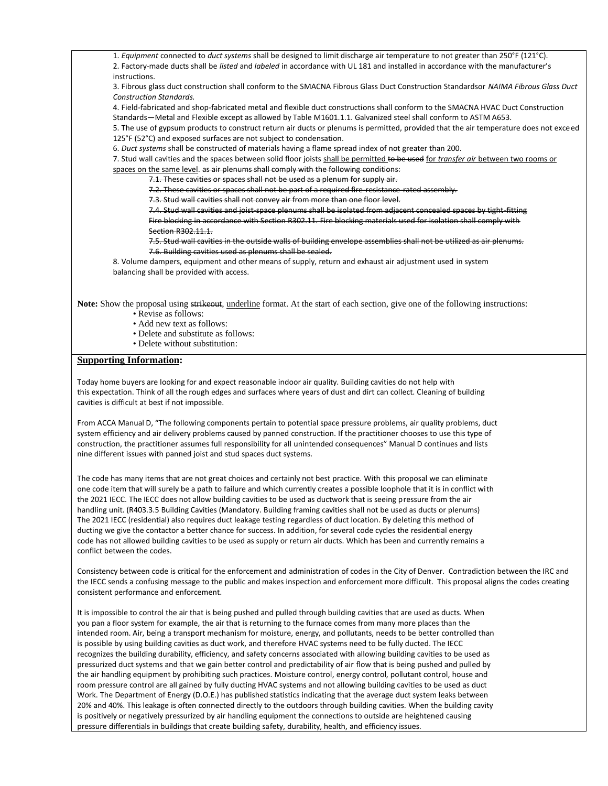1. *Equipment* connected to *duct systems* shall be designed to limit discharge air temperature to not greater than 250°F (121°C). 2. Factory-made ducts shall be *listed* and *labeled* in accordance with UL 181 and installed in accordance with the manufacturer's instructions.

3. Fibrous glass duct construction shall conform to the SMACNA Fibrous Glass Duct Construction Standardsor *NAIMA Fibrous Glass Duct Construction Standards.*

4. Field-fabricated and shop-fabricated metal and flexible duct constructions shall conform to the SMACNA HVAC Duct Construction Standards—Metal and Flexible except as allowed by Table M1601.1.1. Galvanized steel shall conform to ASTM A653.

5. The use of gypsum products to construct return air ducts or plenums is permitted, provided that the air temperature does not exceed 125°F (52°C) and exposed surfaces are not subject to condensation.

6. *Duct systems* shall be constructed of materials having a flame spread index of not greater than 200.

7. Stud wall cavities and the spaces between solid floor joists shall be permitted to be used for *transfer air* between two rooms or spaces on the same level. as air plenums shall comply with the following conditions:

7.1. These cavities or spaces shall not be used as a plenum for supply air.

7.2. These cavities or spaces shall not be part of a required fire-resistance-rated assembly.

7.3. Stud wall cavities shall not convey air from more than one floor level.

7.4. Stud wall cavities and joist-space plenums shall be isolated from adjacent concealed spaces by tight-fitting Fire blocking in accordance with Section R302.11. Fire blocking materials used for isolation shall comply with Section R302.11.1.

7.5. Stud wall cavities in the outside walls of building envelope assemblies shall not be utilized as air plenums. 7.6. Building cavities used as plenums shall be sealed.

8. Volume dampers, equipment and other means of supply, return and exhaust air adjustment used in system balancing shall be provided with access.

**Note:** Show the proposal using strikeout, underline format. At the start of each section, give one of the following instructions:

- Revise as follows:
- Add new text as follows:
- Delete and substitute as follows:
- Delete without substitution:

## **Supporting Information:**

Today home buyers are looking for and expect reasonable indoor air quality. Building cavities do not help with this expectation. Think of all the rough edges and surfaces where years of dust and dirt can collect. Cleaning of building cavities is difficult at best if not impossible.

From ACCA Manual D, "The following components pertain to potential space pressure problems, air quality problems, duct system efficiency and air delivery problems caused by panned construction. If the practitioner chooses to use this type of construction, the practitioner assumes full responsibility for all unintended consequences" Manual D continues and lists nine different issues with panned joist and stud spaces duct systems.

The code has many items that are not great choices and certainly not best practice. With this proposal we can eliminate one code item that will surely be a path to failure and which currently creates a possible loophole that it is in conflict with the 2021 IECC. The IECC does not allow building cavities to be used as ductwork that is seeing pressure from the air handling unit. (R403.3.5 Building Cavities (Mandatory. Building framing cavities shall not be used as ducts or plenums) The 2021 IECC (residential) also requires duct leakage testing regardless of duct location. By deleting this method of ducting we give the contactor a better chance for success. In addition, for several code cycles the residential energy code has not allowed building cavities to be used as supply or return air ducts. Which has been and currently remains a conflict between the codes.

Consistency between code is critical for the enforcement and administration of codes in the City of Denver. Contradiction between the IRC and the IECC sends a confusing message to the public and makes inspection and enforcement more difficult. This proposal aligns the codes creating consistent performance and enforcement.

It is impossible to control the air that is being pushed and pulled through building cavities that are used as ducts. When you pan a floor system for example, the air that is returning to the furnace comes from many more places than the intended room. Air, being a transport mechanism for moisture, energy, and pollutants, needs to be better controlled than is possible by using building cavities as duct work, and therefore HVAC systems need to be fully ducted. The IECC recognizes the building durability, efficiency, and safety concerns associated with allowing building cavities to be used as pressurized duct systems and that we gain better control and predictability of air flow that is being pushed and pulled by the air handling equipment by prohibiting such practices. Moisture control, energy control, pollutant control, house and room pressure control are all gained by fully ducting HVAC systems and not allowing building cavities to be used as duct Work. The Department of Energy (D.O.E.) has published statistics indicating that the average duct system leaks between 20% and 40%. This leakage is often connected directly to the outdoors through building cavities. When the building cavity is positively or negatively pressurized by air handling equipment the connections to outside are heightened causing pressure differentials in buildings that create building safety, durability, health, and efficiency issues.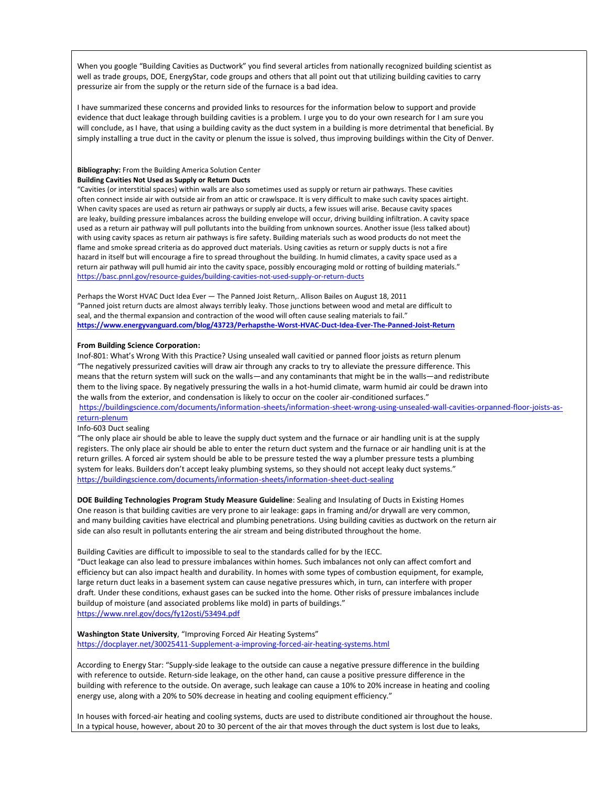When you google "Building Cavities as Ductwork" you find several articles from nationally recognized building scientist as well as trade groups, DOE, EnergyStar, code groups and others that all point out that utilizing building cavities to carry pressurize air from the supply or the return side of the furnace is a bad idea.

I have summarized these concerns and provided links to resources for the information below to support and provide evidence that duct leakage through building cavities is a problem. I urge you to do your own research for I am sure you will conclude, as I have, that using a building cavity as the duct system in a building is more detrimental that beneficial. By simply installing a true duct in the cavity or plenum the issue is solved, thus improving buildings within the City of Denver.

#### **Bibliography:** From the Building America Solution Center **Building Cavities Not Used as Supply or Return Ducts**

"Cavities (or interstitial spaces) within walls are also sometimes used as supply or return air pathways. These cavities often connect inside air with outside air from an attic or crawlspace. It is very difficult to make such cavity spaces airtight. When cavity spaces are used as return air pathways or supply air ducts, a few issues will arise. Because cavity spaces are leaky, building pressure imbalances across the building envelope will occur, driving building infiltration. A cavity space used as a return air pathway will pull pollutants into the building from unknown sources. Another issue (less talked about) with using cavity spaces as return air pathways is fire safety. Building materials such as wood products do not meet the flame and smoke spread criteria as do approved duct materials. Using cavities as return or supply ducts is not a fire hazard in itself but will encourage a fire to spread throughout the building. In humid climates, a cavity space used as a return air pathway will pull humid air into the cavity space, possibly encouraging mold or rotting of building materials." <https://basc.pnnl.gov/resource-guides/building-cavities-not-used-supply-or-return-ducts>

Perhaps the Worst HVAC Duct Idea Ever — The Panned Joist Return,. Allison Bailes on August 18, 2011 "Panned joist return ducts are almost always terribly leaky. Those junctions between wood and metal are difficult to seal, and the thermal expansion and contraction of the wood will often cause sealing materials to fail." **<https://www.energyvanguard.com/blog/43723/Perhapsthe-Worst-HVAC-Duct-Idea-Ever-The-Panned-Joist-Return>**

#### **From Building Science Corporation:**

Inof-801: What's Wrong With this Practice? Using unsealed wall cavitied or panned floor joists as return plenum "The negatively pressurized cavities will draw air through any cracks to try to alleviate the pressure difference. This means that the return system will suck on the walls—and any contaminants that might be in the walls—and redistribute them to the living space. By negatively pressuring the walls in a hot-humid climate, warm humid air could be drawn into the walls from the exterior, and condensation is likely to occur on the cooler air-conditioned surfaces."

[https://buildingscience.com/documents/information-sheets/information-sheet-wrong-using-unsealed-wall-cavities-orpanned-floor-joists-as](https://buildingscience.com/documents/information-sheets/information-sheet-wrong-using-unsealed-wall-cavities-orpanned-floor-joists-as-return-plenum)[return-plenum](https://buildingscience.com/documents/information-sheets/information-sheet-wrong-using-unsealed-wall-cavities-orpanned-floor-joists-as-return-plenum)

#### Info-603 Duct sealing

"The only place air should be able to leave the supply duct system and the furnace or air handling unit is at the supply registers. The only place air should be able to enter the return duct system and the furnace or air handling unit is at the return grilles. A forced air system should be able to be pressure tested the way a plumber pressure tests a plumbing system for leaks. Builders don't accept leaky plumbing systems, so they should not accept leaky duct systems." <https://buildingscience.com/documents/information-sheets/information-sheet-duct-sealing>

**DOE Building Technologies Program Study Measure Guideline**: Sealing and Insulating of Ducts in Existing Homes One reason is that building cavities are very prone to air leakage: gaps in framing and/or drywall are very common, and many building cavities have electrical and plumbing penetrations. Using building cavities as ductwork on the return air side can also result in pollutants entering the air stream and being distributed throughout the home.

Building Cavities are difficult to impossible to seal to the standards called for by the IECC.

"Duct leakage can also lead to pressure imbalances within homes. Such imbalances not only can affect comfort and efficiency but can also impact health and durability. In homes with some types of combustion equipment, for example, large return duct leaks in a basement system can cause negative pressures which, in turn, can interfere with proper draft. Under these conditions, exhaust gases can be sucked into the home. Other risks of pressure imbalances include buildup of moisture (and associated problems like mold) in parts of buildings." <https://www.nrel.gov/docs/fy12osti/53494.pdf>

**Washington State University**, "Improving Forced Air Heating Systems" <https://docplayer.net/30025411-Supplement-a-improving-forced-air-heating-systems.html>

According to Energy Star: "Supply-side leakage to the outside can cause a negative pressure difference in the building with reference to outside. Return-side leakage, on the other hand, can cause a positive pressure difference in the building with reference to the outside. On average, such leakage can cause a 10% to 20% increase in heating and cooling energy use, along with a 20% to 50% decrease in heating and cooling equipment efficiency."

In houses with forced-air heating and cooling systems, ducts are used to distribute conditioned air throughout the house. In a typical house, however, about 20 to 30 percent of the air that moves through the duct system is lost due to leaks,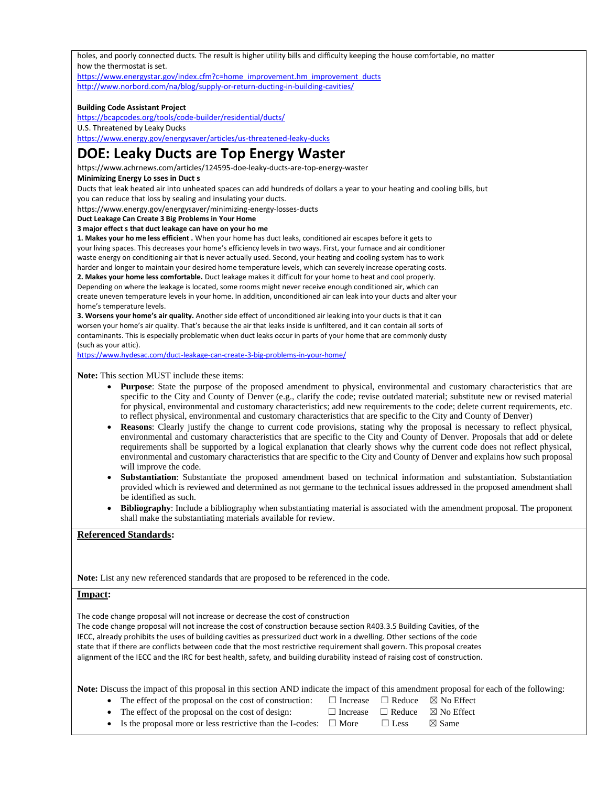holes, and poorly connected ducts. The result is higher utility bills and difficulty keeping the house comfortable, no matter how the thermostat is set.

[https://www.energystar.gov/index.cfm?c=home\\_improvement.hm\\_improvement\\_ducts](https://www.energystar.gov/index.cfm?c=home_improvement.hm_improvement_ducts) <http://www.norbord.com/na/blog/supply-or-return-ducting-in-building-cavities/>

## **Building Code Assistant Project**

<https://bcapcodes.org/tools/code-builder/residential/ducts/> U.S. Threatened by Leaky Ducks <https://www.energy.gov/energysaver/articles/us-threatened-leaky-ducks>

# **DOE: Leaky Ducts are Top Energy Waster**

https://www.achrnews.com/articles/124595-doe-leaky-ducts-are-top-energy-waster

## **Minimizing Energy Lo sses in Duct s**

Ducts that leak heated air into unheated spaces can add hundreds of dollars a year to your heating and cooling bills, but you can reduce that loss by sealing and insulating your ducts.

https://www.energy.gov/energysaver/minimizing-energy-losses-ducts

**Duct Leakage Can Create 3 Big Problems in Your Home**

**3 major effect s that duct leakage can have on your ho me**

**1. Makes your ho me less efficient .** When your home has duct leaks, conditioned air escapes before it gets to your living spaces. This decreases your home's efficiency levels in two ways. First, your furnace and air conditioner waste energy on conditioning air that is never actually used. Second, your heating and cooling system has to work harder and longer to maintain your desired home temperature levels, which can severely increase operating costs.

**2. Makes your home less comfortable.** Duct leakage makes it difficult for your home to heat and cool properly. Depending on where the leakage is located, some rooms might never receive enough conditioned air, which can create uneven temperature levels in your home. In addition, unconditioned air can leak into your ducts and alter your home's temperature levels.

**3. Worsens your home's air quality.** Another side effect of unconditioned air leaking into your ducts is that it can worsen your home's air quality. That's because the air that leaks inside is unfiltered, and it can contain all sorts of contaminants. This is especially problematic when duct leaks occur in parts of your home that are commonly dusty (such as your attic).

<https://www.hydesac.com/duct-leakage-can-create-3-big-problems-in-your-home/>

**Note:** This section MUST include these items:

- **Purpose**: State the purpose of the proposed amendment to physical, environmental and customary characteristics that are specific to the City and County of Denver (e.g., clarify the code; revise outdated material; substitute new or revised material for physical, environmental and customary characteristics; add new requirements to the code; delete current requirements, etc. to reflect physical, environmental and customary characteristics that are specific to the City and County of Denver)
- **Reasons**: Clearly justify the change to current code provisions, stating why the proposal is necessary to reflect physical, environmental and customary characteristics that are specific to the City and County of Denver. Proposals that add or delete requirements shall be supported by a logical explanation that clearly shows why the current code does not reflect physical, environmental and customary characteristics that are specific to the City and County of Denver and explains how such proposal will improve the code.
- **Substantiation**: Substantiate the proposed amendment based on technical information and substantiation. Substantiation provided which is reviewed and determined as not germane to the technical issues addressed in the proposed amendment shall be identified as such.
- **Bibliography**: Include a bibliography when substantiating material is associated with the amendment proposal. The proponent shall make the substantiating materials available for review.

# **Referenced Standards:**

**Note:** List any new referenced standards that are proposed to be referenced in the code.

# **Impact:**

The code change proposal will not increase or decrease the cost of construction The code change proposal will not increase the cost of construction because section R403.3.5 Building Cavities, of the IECC, already prohibits the uses of building cavities as pressurized duct work in a dwelling. Other sections of the code state that if there are conflicts between code that the most restrictive requirement shall govern. This proposal creates alignment of the IECC and the IRC for best health, safety, and building durability instead of raising cost of construction.

**Note:** Discuss the impact of this proposal in this section AND indicate the impact of this amendment proposal for each of the following:

- The effect of the proposal on the cost of construction:  $\Box$  Increase  $\Box$  Reduce  $\boxtimes$  No Effect
- The effect of the proposal on the cost of design:  $□$  Increase  $□$  Reduce  $□$  No Effect
- 
- Is the proposal more or less restrictive than the I-codes:  $\Box$  More  $\Box$  Less  $\boxtimes$  Same